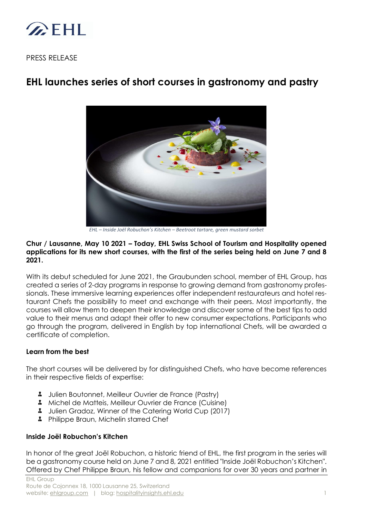

PRESS RELEASE

# **EHL launches series of short courses in gastronomy and pastry**



*EHL – Inside Joël Robuchon's Kitchen – Beetroot tartare, green mustard sorbet*

#### **Chur / Lausanne, May 10 2021 – Today, EHL Swiss School of Tourism and Hospitality opened applications for its new short courses, with the first of the series being held on June 7 and 8 2021.**

With its debut scheduled for June 2021, the Graubunden school, member of EHL Group, has created a series of 2-day programs in response to growing demand from gastronomy professionals. These immersive learning experiences offer independent restaurateurs and hotel restaurant Chefs the possibility to meet and exchange with their peers. Most importantly, the courses will allow them to deepen their knowledge and discover some of the best tips to add value to their menus and adapt their offer to new consumer expectations. Participants who go through the program, delivered in English by top international Chefs, will be awarded a certificate of completion.

## **Learn from the best**

The short courses will be delivered by for distinguished Chefs, who have become references in their respective fields of expertise:

- **3** Julien Boutonnet, Meilleur Ouvrier de France (Pastry)
- **A** Michel de Matteis, Meilleur Ouvrier de France (Cuisine)
- $\ddot{a}$ Julien Gradoz, Winner of the Catering World Cup (2017)
- **A** Philippe Braun, Michelin starred Chef

## **Inside Joël Robuchon's Kitchen**

In honor of the great Joël Robuchon, a historic friend of EHL, the first program in the series will be a gastronomy course held on June 7 and 8, 2021 entitled "Inside Joël Robuchon's Kitchen". Offered by Chef Philippe Braun, his fellow and companions for over 30 years and partner in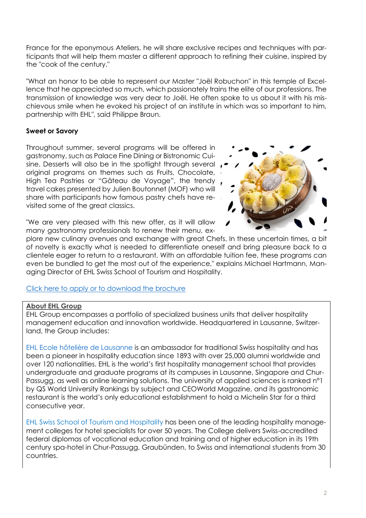France for the eponymous Ateliers, he will share exclusive recipes and techniques with participants that will help them master a different approach to refining their cuisine, inspired by the "cook of the century."

"What an honor to be able to represent our Master "Joël Robuchon" in this temple of Excellence that he appreciated so much, which passionately trains the elite of our professions. The transmission of knowledge was very dear to Joël. He often spoke to us about it with his mischievous smile when he evoked his project of an institute in which was so important to him, partnership with EHL", said Philippe Braun.

## **Sweet or Savory**

Throughout summer, several programs will be offered in gastronomy, such as Palace Fine Dining or Bistronomic Cuisine. Desserts will also be in the spotlight through several original programs on themes such as Fruits, Chocolate, High Tea Pastries or "Gâteau de Voyage", the trendy travel cakes presented by Julien Boutonnet (MOF) who will share with participants how famous pastry chefs have revisited some of the great classics.



"We are very pleased with this new offer, as it will allow many gastronomy professionals to renew their menu, ex-

plore new culinary avenues and exchange with great Chefs. In these uncertain times, a bit of novelty is exactly what is needed to differentiate oneself and bring pleasure back to a clientele eager to return to a restaurant. With an affordable tuition fee, these programs can even be bundled to get the most out of the experience," explains Michael Hartmann, Managing Director of EHL Swiss School of Tourism and Hospitality.

## [Click here to apply or to download the brochure](https://ssth.ehl.edu/en/study/short-courses/gastronomy)

## **About EHL Group**

EHL Group encompasses a portfolio of specialized business units that deliver hospitality management education and innovation worldwide. Headquartered in Lausanne, Switzerland, the Group includes:

EHL [Ecole hôtelière](https://www.ehl.edu/) de Lausanne is an ambassador for traditional Swiss hospitality and has been a pioneer in hospitality education since 1893 with over 25,000 alumni worldwide and over 120 nationalities. EHL is the world's first hospitality management school that provides undergraduate and graduate programs at its campuses in Lausanne, Singapore and Chur-Passugg, as well as online learning solutions. The university of applied sciences is ranked n°1 by QS World University Rankings by subject and CEOWorld Magazine, and its gastronomic restaurant is the world's only educational establishment to hold a Michelin Star for a third consecutive year.

[EHL Swiss School of Tourism and Hospitality](https://www.ssth.ch/) has been one of the leading hospitality management colleges for hotel specialists for over 50 years. The College delivers Swiss-accredited federal diplomas of vocational education and training and of higher education in its 19th century spa-hotel in Chur-Passugg, Graubünden, to Swiss and international students from 30 countries.